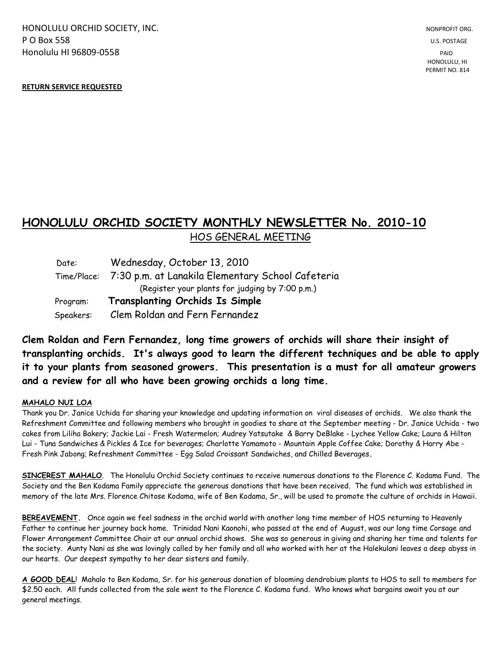HONOLULU ORCHID SOCIETY, INC. NONPROFIT ORG. NONPROFIT ORG. **P O Box 558** U.S. POSTAGE Honolulu HI 96809-0558 PAID

PERMIT NO. 814

## **RETURN SERVICE REQUESTED**

## **HONOLULU ORCHID SOCIETY MONTHLY NEWSLETTER No. 2010-10**  HOS GENERAL MEETING

 Date: Wednesday, October 13, 2010 Time/Place: 7:30 p.m. at Lanakila Elementary School Cafeteria (Register your plants for judging by 7:00 p.m.) Program: **Transplanting Orchids Is Simple** Speakers: Clem Roldan and Fern Fernandez

**Clem Roldan and Fern Fernandez, long time growers of orchids will share their insight of transplanting orchids. It's always good to learn the different techniques and be able to apply it to your plants from seasoned growers. This presentation is a must for all amateur growers and a review for all who have been growing orchids a long time.**

## **MAHALO NUI LOA**

Thank you Dr. Janice Uchida for sharing your knowledge and updating information on viral diseases of orchids. We also thank the Refreshment Committee and following members who brought in goodies to share at the September meeting - Dr. Janice Uchida - two cakes from Liliha Bakery; Jackie Lai - Fresh Watermelon; Audrey Yatsutake & Barry DeBlake - Lychee Yellow Cake; Laura & Hilton Lui - Tuna Sandwiches & Pickles & Ice for beverages; Charlotte Yamamoto - Mountain Apple Coffee Cake; Dorothy & Harry Abe - Fresh Pink Jabong; Refreshment Committee - Egg Salad Croissant Sandwiches, and Chilled Beverages**.**

**SINCEREST MAHALO**. The Honolulu Orchid Society continues to receive numerous donations to the Florence C. Kodama Fund. The Society and the Ben Kodama Family appreciate the generous donations that have been received. The fund which was established in memory of the late Mrs. Florence Chitose Kodama, wife of Ben Kodama, Sr., will be used to promote the culture of orchids in Hawaii.

**BEREAVEMENT.** Once again we feel sadness in the orchid world with another long time member of HOS returning to Heavenly Father to continue her journey back home. Trinidad Nani Kaonohi, who passed at the end of August, was our long time Corsage and Flower Arrangement Committee Chair at our annual orchid shows. She was so generous in giving and sharing her time and talents for the society. Aunty Nani as she was lovingly called by her family and all who worked with her at the Halekulani leaves a deep abyss in our hearts. Our deepest sympathy to her dear sisters and family.

**A GOOD DEAL**! Mahalo to Ben Kodama, Sr. for his generous donation of blooming dendrobium plants to HOS to sell to members for \$2.50 each. All funds collected from the sale went to the Florence C. Kodama fund. Who knows what bargains await you at our general meetings.